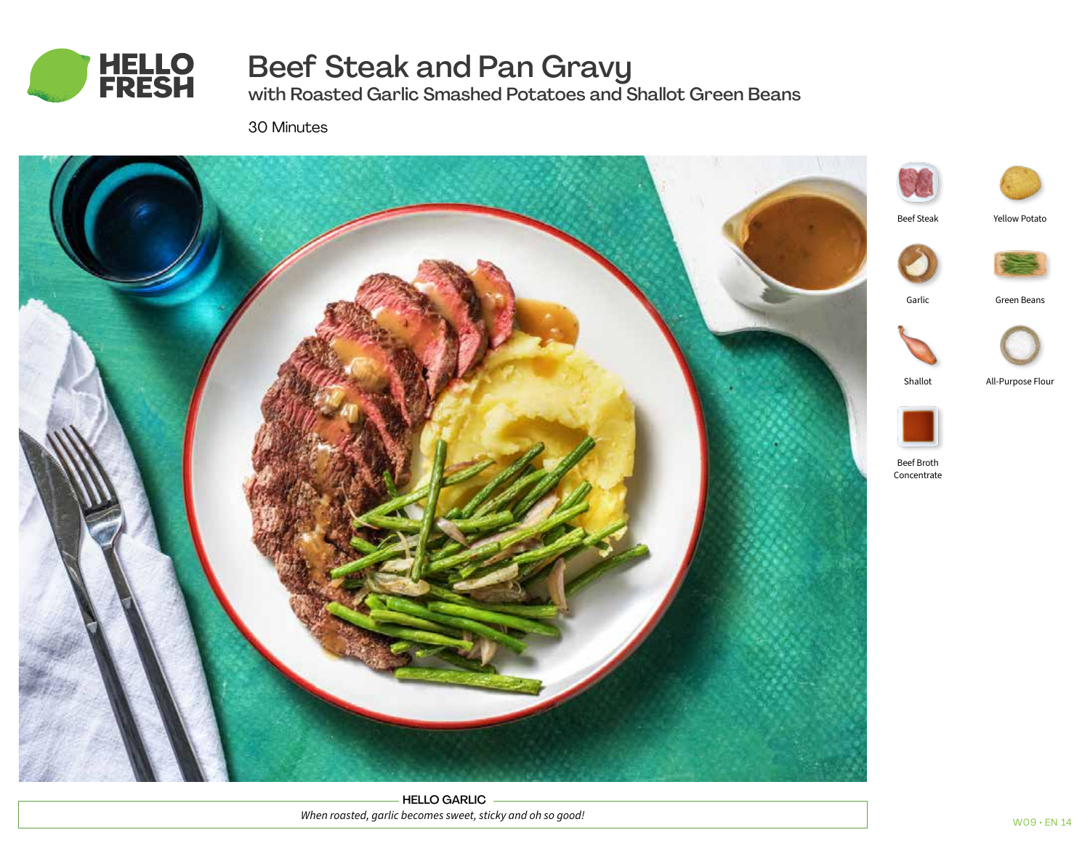

# Beef Steak and Pan Gravy

with Roasted Garlic Smashed Potatoes and Shallot Green Beans

30 Minutes



HELLO GARLIC *When roasted, garlic becomes sweet, sticky and oh so good!*